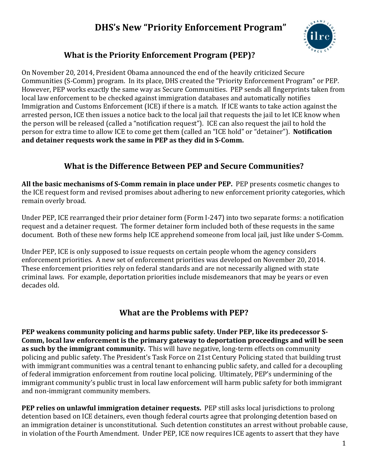## **DHS's New "Priority Enforcement Program"**



#### **What is the Priority Enforcement Program (PEP)?**

On November 20, 2014, President Obama announced the end of the heavily criticized Secure Communities (S-Comm) program. In its place, DHS created the "Priority Enforcement Program" or PEP. However, PEP works exactly the same way as Secure Communities. PEP sends all fingerprints taken from local law enforcement to be checked against immigration databases and automatically notifies Immigration and Customs Enforcement (ICE) if there is a match. If ICE wants to take action against the arrested person, ICE then issues a notice back to the local jail that requests the jail to let ICE know when the person will be released (called a "notification request"). ICE can also request the jail to hold the person for extra time to allow ICE to come get them (called an "ICE hold" or "detainer"). **Notification and detainer requests work the same in PEP as they did in S‐Comm.**

#### **What is the Difference Between PEP and Secure Communities?**

**All the basic mechanisms of S‐Comm remain in place under PEP.** PEP presents cosmetic changes to the ICE request form and revised promises about adhering to new enforcement priority categories, which remain overly broad.

Under PEP, ICE rearranged their prior detainer form (Form I-247) into two separate forms: a notification request and a detainer request. The former detainer form included both of these requests in the same document. Both of these new forms help ICE apprehend someone from local jail, just like under S-Comm.

Under PEP, ICE is only supposed to issue requests on certain people whom the agency considers enforcement priorities. A new set of enforcement priorities was developed on November 20, 2014. These enforcement priorities rely on federal standards and are not necessarily aligned with state criminal laws. For example, deportation priorities include misdemeanors that may be years or even decades old.

#### **What are the Problems with PEP?**

**PEP weakens community policing and harms public safety. Under PEP, like its predecessor S‐ Comm, local law enforcement is the primary gateway to deportation proceedings and will be seen as such by the immigrant community.** This will have negative, long-term effects on community policing and public safety. The President's Task Force on 21st Century Policing stated that building trust with immigrant communities was a central tenant to enhancing public safety, and called for a decoupling of federal immigration enforcement from routine local policing. Ultimately, PEP's undermining of the immigrant community's public trust in local law enforcement will harm public safety for both immigrant and non-immigrant community members.

**PEP relies on unlawful immigration detainer requests.** PEP still asks local jurisdictions to prolong detention based on ICE detainers, even though federal courts agree that prolonging detention based on an immigration detainer is unconstitutional. Such detention constitutes an arrest without probable cause, in violation of the Fourth Amendment. Under PEP, ICE now requires ICE agents to assert that they have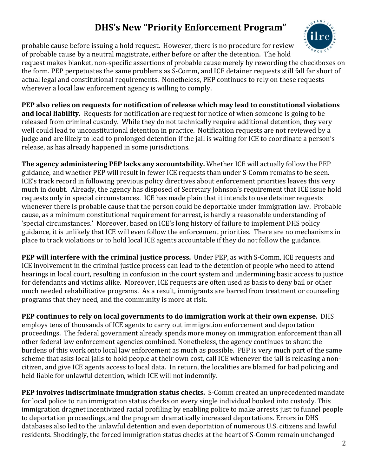# **DHS's New "Priority Enforcement Program"**

probable cause before issuing a hold request. However, there is no procedure for review of probable cause by a neutral magistrate, either before or after the detention. The hold

request makes blanket, non-specific assertions of probable cause merely by rewording the checkboxes on the form. PEP perpetuates the same problems as S-Comm, and ICE detainer requests still fall far short of actual legal and constitutional requirements. Nonetheless, PEP continues to rely on these requests wherever a local law enforcement agency is willing to comply.

**PEP also relies on requests for notification of release which may lead to constitutional violations and local liability.** Requests for notification are request for notice of when someone is going to be released from criminal custody. While they do not technically require additional detention, they very well could lead to unconstitutional detention in practice. Notification requests are not reviewed by a judge and are likely to lead to prolonged detention if the jail is waiting for ICE to coordinate a person's release, as has already happened in some jurisdictions.

**The agency administering PEP lacks any accountability. Whether ICE will actually follow the PEP** guidance, and whether PEP will result in fewer ICE requests than under S-Comm remains to be seen. ICE's track record in following previous policy directives about enforcement priorities leaves this very much in doubt. Already, the agency has disposed of Secretary Johnson's requirement that ICE issue hold requests only in special circumstances. ICE has made plain that it intends to use detainer requests whenever there is probable cause that the person could be deportable under immigration law. Probable cause, as a minimum constitutional requirement for arrest, is hardly a reasonable understanding of 'special circumstances.' Moreover, based on ICE's long history of failure to implement DHS policy guidance, it is unlikely that ICE will even follow the enforcement priorities. There are no mechanisms in place to track violations or to hold local ICE agents accountable if they do not follow the guidance.

**PEP** will interfere with the criminal justice process. Under PEP, as with S-Comm, ICE requests and ICE involvement in the criminal justice process can lead to the detention of people who need to attend hearings in local court, resulting in confusion in the court system and undermining basic access to justice for defendants and victims alike. Moreover, ICE requests are often used as basis to deny bail or other much needed rehabilitative programs. As a result, immigrants are barred from treatment or counseling programs that they need, and the community is more at risk.

**PEP continues to rely on local governments to do immigration work at their own expense.** DHS employs tens of thousands of ICE agents to carry out immigration enforcement and deportation proceedings. The federal government already spends more money on immigration enforcement than all other federal law enforcement agencies combined. Nonetheless, the agency continues to shunt the burdens of this work onto local law enforcement as much as possible. PEP is very much part of the same scheme that asks local jails to hold people at their own cost, call ICE whenever the jail is releasing a noncitizen, and give ICE agents access to local data. In return, the localities are blamed for bad policing and held liable for unlawful detention, which ICE will not indemnify.

**PEP involves indiscriminate immigration status checks.** S‐Comm created an unprecedented mandate for local police to run immigration status checks on every single individual booked into custody. This immigration dragnet incentivized racial profiling by enabling police to make arrests just to funnel people to deportation proceedings, and the program dramatically increased deportations. Errors in DHS databases also led to the unlawful detention and even deportation of numerous U.S. citizens and lawful residents. Shockingly, the forced immigration status checks at the heart of S-Comm remain unchanged